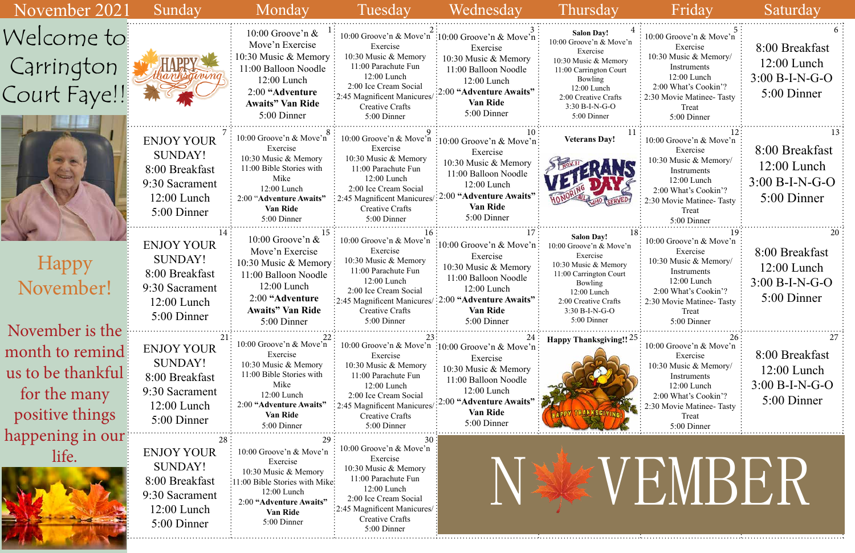| 4  |                               |  |  |  |  |  |  |  |  |
|----|-------------------------------|--|--|--|--|--|--|--|--|
|    | 10:00 Groove'n & Move'n       |  |  |  |  |  |  |  |  |
|    | Exercise                      |  |  |  |  |  |  |  |  |
|    | 10:30 Music & Memory/         |  |  |  |  |  |  |  |  |
|    | Instruments                   |  |  |  |  |  |  |  |  |
|    | 12:00 Lunch                   |  |  |  |  |  |  |  |  |
|    | 2:00 What's Cookin'?          |  |  |  |  |  |  |  |  |
|    | 2:30 Movie Matinee-Tasty      |  |  |  |  |  |  |  |  |
|    | Treat                         |  |  |  |  |  |  |  |  |
|    | 5:00 Dinner                   |  |  |  |  |  |  |  |  |
| 1  | 12                            |  |  |  |  |  |  |  |  |
|    | 10:00 Groove'n & Move'n       |  |  |  |  |  |  |  |  |
|    | Exercise                      |  |  |  |  |  |  |  |  |
|    | 10:30 Music & Memory/         |  |  |  |  |  |  |  |  |
|    | Instruments                   |  |  |  |  |  |  |  |  |
|    | 12:00 Lunch                   |  |  |  |  |  |  |  |  |
|    | 2:00 What's Cookin'?          |  |  |  |  |  |  |  |  |
|    | 2:30 Movie Matinee-Tasty      |  |  |  |  |  |  |  |  |
|    | Treat                         |  |  |  |  |  |  |  |  |
|    | 5:00 Dinner                   |  |  |  |  |  |  |  |  |
|    |                               |  |  |  |  |  |  |  |  |
| 18 | 19<br>10:00 Groove'n & Move'n |  |  |  |  |  |  |  |  |
|    | Exercise                      |  |  |  |  |  |  |  |  |
|    | 10:30 Music & Memory/         |  |  |  |  |  |  |  |  |
|    | Instruments                   |  |  |  |  |  |  |  |  |
|    | 12:00 Lunch                   |  |  |  |  |  |  |  |  |
|    | 2:00 What's Cookin'?          |  |  |  |  |  |  |  |  |
|    | 2:30 Movie Matinee-Tasty      |  |  |  |  |  |  |  |  |
|    | Treat                         |  |  |  |  |  |  |  |  |
|    | 5:00 Dinner                   |  |  |  |  |  |  |  |  |
|    |                               |  |  |  |  |  |  |  |  |
| 25 | 26                            |  |  |  |  |  |  |  |  |
|    | 10:00 Groove'n & Move'n       |  |  |  |  |  |  |  |  |
|    | Exercise                      |  |  |  |  |  |  |  |  |
|    | 10:30 Music & Memory/         |  |  |  |  |  |  |  |  |
|    | Instruments                   |  |  |  |  |  |  |  |  |
|    | 12:00 Lunch                   |  |  |  |  |  |  |  |  |
|    | 2:00 What's Cookin'?          |  |  |  |  |  |  |  |  |
|    | 2:30 Movie Matinee-Tasty      |  |  |  |  |  |  |  |  |
|    | Treat                         |  |  |  |  |  |  |  |  |
|    | 5:00 Dinner                   |  |  |  |  |  |  |  |  |

| November 2021                                                                                | Sunday                                                                                                                   | Monday                                                                                                                                                                           | Tuesday                                                                                                                                                                                             | Wednesday                                                                                                                                                                                 | Thursday                                                                                                                                                                                        | Friday                                                                                                                                                                 | Saturday                                                                 |
|----------------------------------------------------------------------------------------------|--------------------------------------------------------------------------------------------------------------------------|----------------------------------------------------------------------------------------------------------------------------------------------------------------------------------|-----------------------------------------------------------------------------------------------------------------------------------------------------------------------------------------------------|-------------------------------------------------------------------------------------------------------------------------------------------------------------------------------------------|-------------------------------------------------------------------------------------------------------------------------------------------------------------------------------------------------|------------------------------------------------------------------------------------------------------------------------------------------------------------------------|--------------------------------------------------------------------------|
| Welcome to!<br>Carrington<br>Court Faye!!                                                    |                                                                                                                          | 10:00 Groove'n $\&$<br>Move'n Exercise<br>10:30 Music & Memory<br>11:00 Balloon Noodle<br>$12:00$ Lunch<br>2:00 "Adventure<br><b>Awaits</b> " Van Ride<br>5:00 Dinner            | Exercise<br>10:30 Music & Memory<br>11:00 Parachute Fun<br>$12:00$ Lunch<br>2:00 Ice Cream Social<br>:2:45 Magnificent Manicures<br>Creative Crafts<br>5:00 Dinner                                  | 10:00 Groove'n & Move'n :10:00 Groove'n & Move'n<br>Exercise<br>10:30 Music & Memory<br>11:00 Balloon Noodle<br>12:00 Lunch<br>2:00 "Adventure Awaits"<br><b>Van Ride</b><br>5:00 Dinner  | <b>Salon Day!</b><br>10:00 Groove'n & Move'n<br>Exercise<br>10:30 Music & Memory<br>11:00 Carrington Court<br>Bowling<br>12:00 Lunch<br>2:00 Creative Crafts<br>3:30 B-I-N-G-O<br>5:00 Dinner   | 10:00 Groove'n & Move'n<br>Exercise<br>10:30 Music & Memory/<br>Instruments<br>12:00 Lunch<br>2:00 What's Cookin'?<br>2:30 Movie Matinee-Tasty<br>Treat<br>5:00 Dinner | 8:00 Breakfast<br>$12:00$ Lunch<br>$3:00 B-I-N-G-O$<br>5:00 Dinner       |
|                                                                                              | <b>ENJOY YOUR</b><br><b>SUNDAY!</b><br>8:00 Breakfast<br>9:30 Sacrament<br>$12:00$ Lunch<br>5:00 Dinner                  | 10:00 Groove'n & Move'n<br>Exercise<br>10:30 Music & Memory<br>11:00 Bible Stories with<br>Mike<br>12:00 Lunch<br>2:00 "Adventure Awaits"<br>Van Ride<br>5:00 Dinner             | 10:00 Groove'n & Move'n<br>Exercise<br>10:30 Music & Memory<br>11:00 Parachute Fun<br>$12:00$ Lunch<br>2:00 Ice Cream Social<br>2:45 Magnificent Manicures<br>Creative Crafts<br>5:00 Dinner        | $\frac{1}{2}10:00$ Groove'n & Move'n:<br>Exercise<br>10:30 Music & Memory<br>11:00 Balloon Noodle<br>12:00 Lunch<br>:00 "Adventure Awaits"<br><b>Van Ride</b><br>5:00 Dinner              | <b>Veterans Day!</b>                                                                                                                                                                            | 10:00 Groove'n & Move'n<br>Exercise<br>10:30 Music & Memory/<br>Instruments<br>12:00 Lunch<br>2:00 What's Cookin'?<br>2:30 Movie Matinee-Tasty<br>Treat<br>5:00 Dinner | 8:00 Breakfast<br>12:00 Lunch<br>$3:00 B-I-N-G-O$<br>5:00 Dinner         |
| <b>Happy</b><br>November!                                                                    | <b>ENJOY YOUR</b><br><b>SUNDAY!</b><br>8:00 Breakfast<br>9:30 Sacrament<br>$12:00$ Lunch<br>5:00 Dinner                  | 10:00 Groove'n $\&$<br>Move'n Exercise<br>10:30 Music & Memory:<br>11:00 Balloon Noodle<br>$12:00$ Lunch<br>2:00 "Adventure<br><b>Awaits</b> " Van Ride<br>5:00 Dinner           | 10:00 Groove'n & Move'n<br>Exercise<br>10:30 Music & Memory<br>11:00 Parachute Fun<br>12:00 Lunch<br>2:00 Ice Cream Social<br>:2:45 Magnificent Manicures/<br>Creative Crafts<br>5:00 Dinner        | $\frac{1}{2}$ 10:00 Groove'n & Move'n:<br>Exercise<br>10:30 Music & Memory<br>11:00 Balloon Noodle<br>12:00 Lunch<br>:2:00 "Adventure Awaits"<br><b>Van Ride</b><br>5:00 Dinner           | <b>Salon Day!</b><br>10:00 Groove'n & Move'n<br>Exercise<br>10:30 Music & Memory<br>11:00 Carrington Court<br>Bowling<br>12:00 Lunch<br>2:00 Creative Crafts<br>$3:30 B-I-N-G-O$<br>5:00 Dinner | 10:00 Groove'n & Move'n<br>Exercise<br>10:30 Music & Memory/<br>Instruments<br>12:00 Lunch<br>2:00 What's Cookin'?<br>2:30 Movie Matinee-Tasty<br>Treat<br>5:00 Dinner | 20<br>8:00 Breakfast<br>$12:00$ Lunch<br>$3:00 B-I-N-G-O$<br>5:00 Dinner |
| November is the<br>month to remind:<br>us to be thankful!<br>for the many<br>positive things | <b>ENJOY YOUR</b><br><b>SUNDAY!</b><br>8:00 Breakfast<br>9:30 Sacrament<br>12:00 Lunch<br>5:00 Dinner                    | 10:00 Groove'n & Move'n<br>Exercise<br>10:30 Music & Memory<br>11:00 Bible Stories with<br>Mike<br>12:00 Lunch<br>2:00 "Adventure Awaits"<br><b>Van Ride</b><br>5:00 Dinner      | 23:<br>Exercise<br>10:30 Music & Memory<br>11:00 Parachute Fun<br>12:00 Lunch<br>2:00 Ice Cream Social<br>2:45 Magnificent Manicures<br>Creative Crafts<br>5:00 Dinner                              | 10:00 Groove'n & Move'n :10:00 Groove'n & Move'n:<br>Exercise<br>10:30 Music & Memory<br>11:00 Balloon Noodle<br>12:00 Lunch<br>2:00 "Adventure Awaits"<br><b>Van Ride</b><br>5:00 Dinner | Happy Thanksgiving!! 25                                                                                                                                                                         | 10:00 Groove'n & Move'n<br>Exercise<br>10:30 Music & Memory/<br>Instruments<br>12:00 Lunch<br>2:00 What's Cookin'?<br>:30 Movie Matinee- Tasty<br>Treat<br>5:00 Dinner | 8:00 Breakfast<br>$12:00$ Lunch<br>$3:00 B-I-N-G-O$<br>5:00 Dinner       |
| happening in our<br>life.                                                                    | 28 <sup>3</sup><br><b>ENJOY YOUR</b><br><b>SUNDAY!</b><br>8:00 Breakfast<br>9:30 Sacrament<br>12:00 Lunch<br>5:00 Dinner | 29:<br>10:00 Groove'n & Move'n<br>Exercise<br>10:30 Music & Memory<br>11:00 Bible Stories with Mike-<br>12:00 Lunch<br>2:00 "Adventure Awaits"<br><b>Van Ride</b><br>5:00 Dinner | 10:00 Groove'n & Move'n<br>Exercise<br>10:30 Music & Memory<br>11:00 Parachute Fun<br>12:00 Lunch<br>2:00 Ice Cream Social<br>:2:45 Magnificent Manicures/<br><b>Creative Crafts</b><br>5:00 Dinner |                                                                                                                                                                                           |                                                                                                                                                                                                 | VEMBER                                                                                                                                                                 |                                                                          |